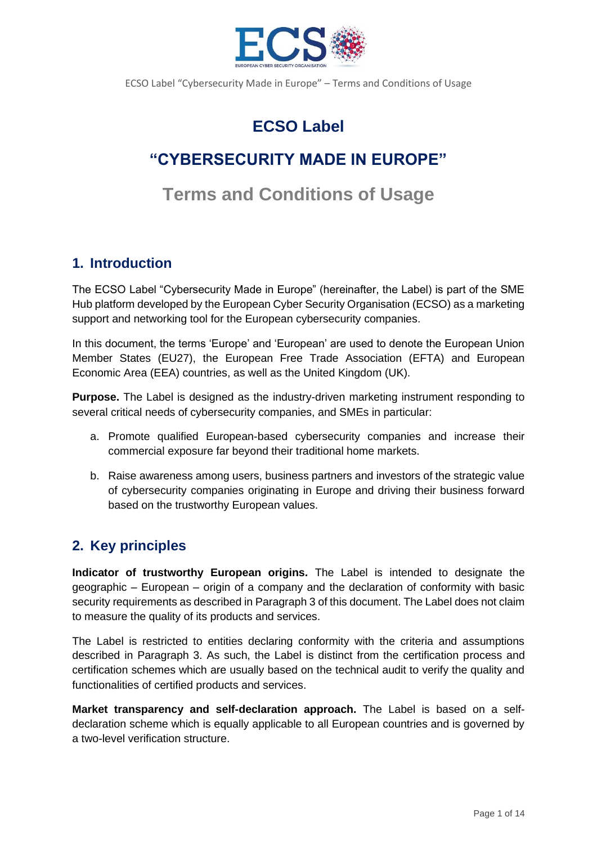

# **ECSO Label**

# **"CYBERSECURITY MADE IN EUROPE"**

# **Terms and Conditions of Usage**

## **1. Introduction**

The ECSO Label "Cybersecurity Made in Europe" (hereinafter, the Label) is part of the SME Hub platform developed by the European Cyber Security Organisation (ECSO) as a marketing support and networking tool for the European cybersecurity companies.

In this document, the terms 'Europe' and 'European' are used to denote the European Union Member States (EU27), the European Free Trade Association (EFTA) and European Economic Area (EEA) countries, as well as the United Kingdom (UK).

**Purpose.** The Label is designed as the industry-driven marketing instrument responding to several critical needs of cybersecurity companies, and SMEs in particular:

- a. Promote qualified European-based cybersecurity companies and increase their commercial exposure far beyond their traditional home markets.
- b. Raise awareness among users, business partners and investors of the strategic value of cybersecurity companies originating in Europe and driving their business forward based on the trustworthy European values.

## **2. Key principles**

**Indicator of trustworthy European origins.** The Label is intended to designate the geographic – European – origin of a company and the declaration of conformity with basic security requirements as described in Paragraph 3 of this document. The Label does not claim to measure the quality of its products and services.

The Label is restricted to entities declaring conformity with the criteria and assumptions described in Paragraph 3. As such, the Label is distinct from the certification process and certification schemes which are usually based on the technical audit to verify the quality and functionalities of certified products and services.

**Market transparency and self-declaration approach.** The Label is based on a selfdeclaration scheme which is equally applicable to all European countries and is governed by a two-level verification structure.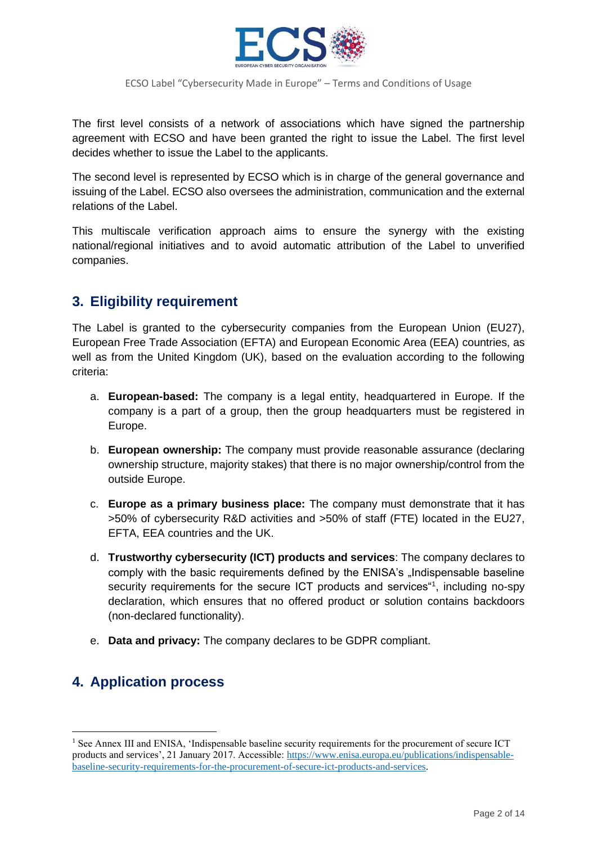

The first level consists of a network of associations which have signed the partnership agreement with ECSO and have been granted the right to issue the Label. The first level decides whether to issue the Label to the applicants.

The second level is represented by ECSO which is in charge of the general governance and issuing of the Label. ECSO also oversees the administration, communication and the external relations of the Label.

This multiscale verification approach aims to ensure the synergy with the existing national/regional initiatives and to avoid automatic attribution of the Label to unverified companies.

## **3. Eligibility requirement**

The Label is granted to the cybersecurity companies from the European Union (EU27), European Free Trade Association (EFTA) and European Economic Area (EEA) countries, as well as from the United Kingdom (UK), based on the evaluation according to the following criteria:

- a. **European-based:** The company is a legal entity, headquartered in Europe. If the company is a part of a group, then the group headquarters must be registered in Europe.
- b. **European ownership:** The company must provide reasonable assurance (declaring ownership structure, majority stakes) that there is no major ownership/control from the outside Europe.
- c. **Europe as a primary business place:** The company must demonstrate that it has >50% of cybersecurity R&D activities and >50% of staff (FTE) located in the EU27, EFTA, EEA countries and the UK.
- d. **Trustworthy cybersecurity (ICT) products and services**: The company declares to comply with the basic requirements defined by the ENISA's "Indispensable baseline security requirements for the secure ICT products and services<sup>41</sup>, including no-spy declaration, which ensures that no offered product or solution contains backdoors (non-declared functionality).
- e. **Data and privacy:** The company declares to be GDPR compliant.

## **4. Application process**

<sup>&</sup>lt;sup>1</sup> See Annex III and ENISA, 'Indispensable baseline security requirements for the procurement of secure ICT products and services', 21 January 2017. Accessible: [https://www.enisa.europa.eu/publications/indispensable](https://www.enisa.europa.eu/publications/indispensable-baseline-security-requirements-for-the-procurement-of-secure-ict-products-and-services)[baseline-security-requirements-for-the-procurement-of-secure-ict-products-and-services.](https://www.enisa.europa.eu/publications/indispensable-baseline-security-requirements-for-the-procurement-of-secure-ict-products-and-services)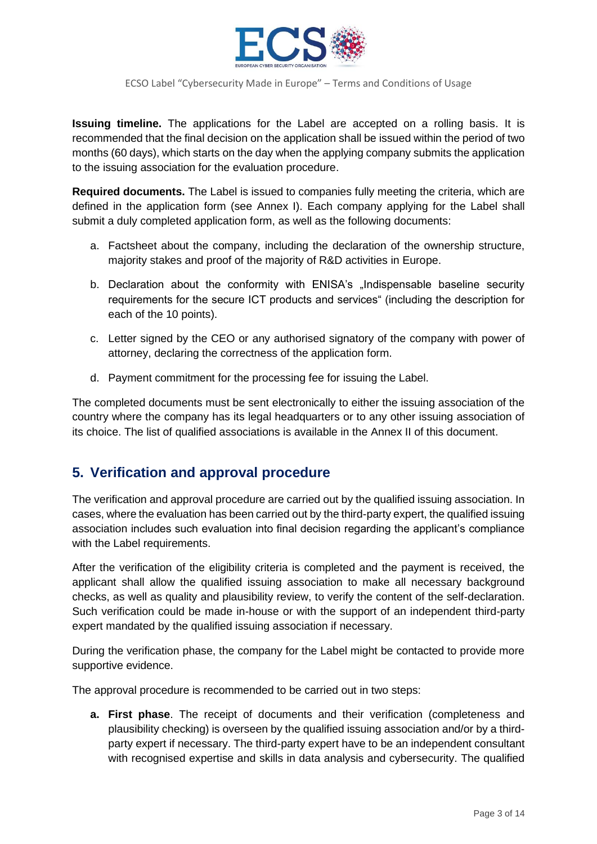

**Issuing timeline.** The applications for the Label are accepted on a rolling basis. It is recommended that the final decision on the application shall be issued within the period of two months (60 days), which starts on the day when the applying company submits the application to the issuing association for the evaluation procedure.

**Required documents.** The Label is issued to companies fully meeting the criteria, which are defined in the application form (see Annex I). Each company applying for the Label shall submit a duly completed application form, as well as the following documents:

- a. Factsheet about the company, including the declaration of the ownership structure, majority stakes and proof of the majority of R&D activities in Europe.
- b. Declaration about the conformity with ENISA's "Indispensable baseline security requirements for the secure ICT products and services" (including the description for each of the 10 points).
- c. Letter signed by the CEO or any authorised signatory of the company with power of attorney, declaring the correctness of the application form.
- d. Payment commitment for the processing fee for issuing the Label.

The completed documents must be sent electronically to either the issuing association of the country where the company has its legal headquarters or to any other issuing association of its choice. The list of qualified associations is available in the Annex II of this document.

## **5. Verification and approval procedure**

The verification and approval procedure are carried out by the qualified issuing association. In cases, where the evaluation has been carried out by the third-party expert, the qualified issuing association includes such evaluation into final decision regarding the applicant's compliance with the Label requirements.

After the verification of the eligibility criteria is completed and the payment is received, the applicant shall allow the qualified issuing association to make all necessary background checks, as well as quality and plausibility review, to verify the content of the self-declaration. Such verification could be made in-house or with the support of an independent third-party expert mandated by the qualified issuing association if necessary.

During the verification phase, the company for the Label might be contacted to provide more supportive evidence.

The approval procedure is recommended to be carried out in two steps:

**a. First phase**. The receipt of documents and their verification (completeness and plausibility checking) is overseen by the qualified issuing association and/or by a thirdparty expert if necessary. The third-party expert have to be an independent consultant with recognised expertise and skills in data analysis and cybersecurity. The qualified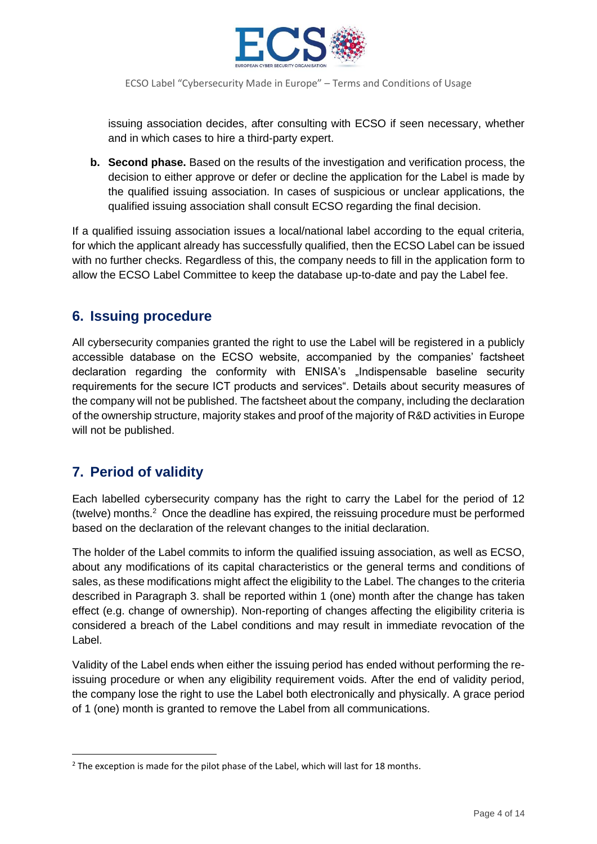

issuing association decides, after consulting with ECSO if seen necessary, whether and in which cases to hire a third-party expert.

**b. Second phase.** Based on the results of the investigation and verification process, the decision to either approve or defer or decline the application for the Label is made by the qualified issuing association. In cases of suspicious or unclear applications, the qualified issuing association shall consult ECSO regarding the final decision.

If a qualified issuing association issues a local/national label according to the equal criteria, for which the applicant already has successfully qualified, then the ECSO Label can be issued with no further checks. Regardless of this, the company needs to fill in the application form to allow the ECSO Label Committee to keep the database up-to-date and pay the Label fee.

## **6. Issuing procedure**

All cybersecurity companies granted the right to use the Label will be registered in a publicly accessible database on the ECSO website, accompanied by the companies' factsheet declaration regarding the conformity with ENISA's "Indispensable baseline security requirements for the secure ICT products and services". Details about security measures of the company will not be published. The factsheet about the company, including the declaration of the ownership structure, majority stakes and proof of the majority of R&D activities in Europe will not be published.

## **7. Period of validity**

Each labelled cybersecurity company has the right to carry the Label for the period of 12 (twelve) months.<sup>2</sup> Once the deadline has expired, the reissuing procedure must be performed based on the declaration of the relevant changes to the initial declaration.

The holder of the Label commits to inform the qualified issuing association, as well as ECSO, about any modifications of its capital characteristics or the general terms and conditions of sales, as these modifications might affect the eligibility to the Label. The changes to the criteria described in Paragraph 3. shall be reported within 1 (one) month after the change has taken effect (e.g. change of ownership). Non-reporting of changes affecting the eligibility criteria is considered a breach of the Label conditions and may result in immediate revocation of the Label.

Validity of the Label ends when either the issuing period has ended without performing the reissuing procedure or when any eligibility requirement voids. After the end of validity period, the company lose the right to use the Label both electronically and physically. A grace period of 1 (one) month is granted to remove the Label from all communications.

<sup>&</sup>lt;sup>2</sup> The exception is made for the pilot phase of the Label, which will last for 18 months.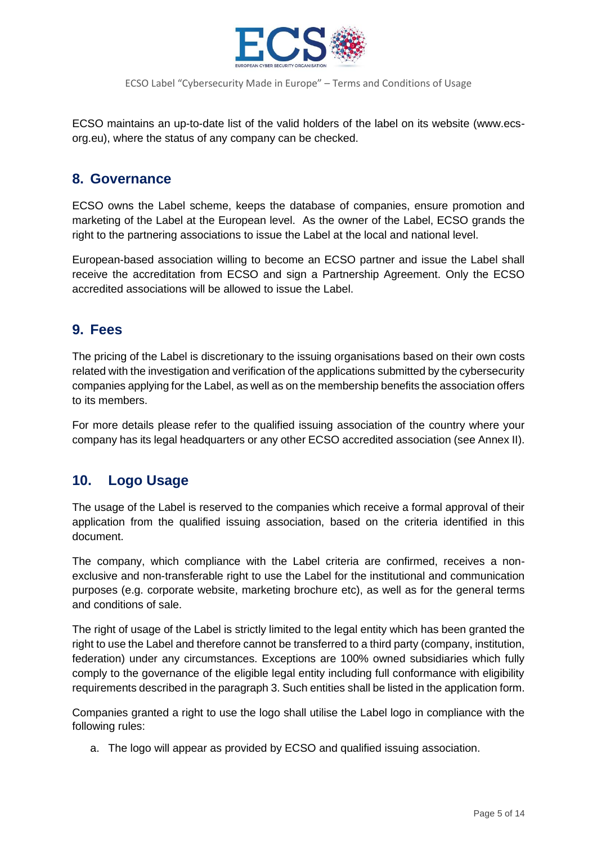

ECSO maintains an up-to-date list of the valid holders of the label on its website (www.ecsorg.eu), where the status of any company can be checked.

## **8. Governance**

ECSO owns the Label scheme, keeps the database of companies, ensure promotion and marketing of the Label at the European level. As the owner of the Label, ECSO grands the right to the partnering associations to issue the Label at the local and national level.

European-based association willing to become an ECSO partner and issue the Label shall receive the accreditation from ECSO and sign a Partnership Agreement. Only the ECSO accredited associations will be allowed to issue the Label.

## **9. Fees**

The pricing of the Label is discretionary to the issuing organisations based on their own costs related with the investigation and verification of the applications submitted by the cybersecurity companies applying for the Label, as well as on the membership benefits the association offers to its members.

For more details please refer to the qualified issuing association of the country where your company has its legal headquarters or any other ECSO accredited association (see Annex II).

## **10. Logo Usage**

The usage of the Label is reserved to the companies which receive a formal approval of their application from the qualified issuing association, based on the criteria identified in this document.

The company, which compliance with the Label criteria are confirmed, receives a nonexclusive and non-transferable right to use the Label for the institutional and communication purposes (e.g. corporate website, marketing brochure etc), as well as for the general terms and conditions of sale.

The right of usage of the Label is strictly limited to the legal entity which has been granted the right to use the Label and therefore cannot be transferred to a third party (company, institution, federation) under any circumstances. Exceptions are 100% owned subsidiaries which fully comply to the governance of the eligible legal entity including full conformance with eligibility requirements described in the paragraph 3. Such entities shall be listed in the application form.

Companies granted a right to use the logo shall utilise the Label logo in compliance with the following rules:

a. The logo will appear as provided by ECSO and qualified issuing association.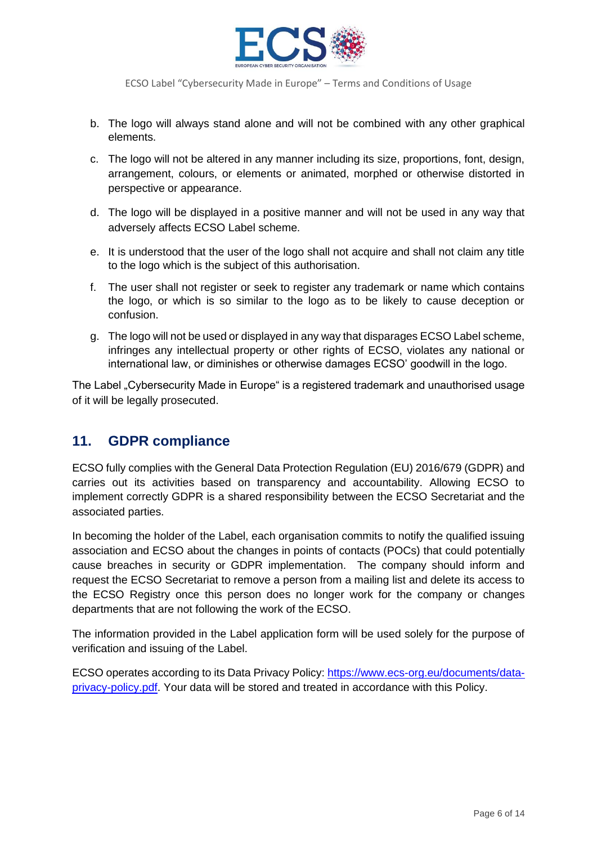

- b. The logo will always stand alone and will not be combined with any other graphical elements.
- c. The logo will not be altered in any manner including its size, proportions, font, design, arrangement, colours, or elements or animated, morphed or otherwise distorted in perspective or appearance.
- d. The logo will be displayed in a positive manner and will not be used in any way that adversely affects ECSO Label scheme.
- e. It is understood that the user of the logo shall not acquire and shall not claim any title to the logo which is the subject of this authorisation.
- f. The user shall not register or seek to register any trademark or name which contains the logo, or which is so similar to the logo as to be likely to cause deception or confusion.
- g. The logo will not be used or displayed in any way that disparages ECSO Label scheme, infringes any intellectual property or other rights of ECSO, violates any national or international law, or diminishes or otherwise damages ECSO' goodwill in the logo.

The Label "Cybersecurity Made in Europe" is a registered trademark and unauthorised usage of it will be legally prosecuted.

## **11. GDPR compliance**

ECSO fully complies with the General Data Protection Regulation (EU) 2016/679 (GDPR) and carries out its activities based on transparency and accountability. Allowing ECSO to implement correctly GDPR is a shared responsibility between the ECSO Secretariat and the associated parties.

In becoming the holder of the Label, each organisation commits to notify the qualified issuing association and ECSO about the changes in points of contacts (POCs) that could potentially cause breaches in security or GDPR implementation. The company should inform and request the ECSO Secretariat to remove a person from a mailing list and delete its access to the ECSO Registry once this person does no longer work for the company or changes departments that are not following the work of the ECSO.

The information provided in the Label application form will be used solely for the purpose of verification and issuing of the Label.

ECSO operates according to its Data Privacy Policy: [https://www.ecs-org.eu/documents/data](https://www.ecs-org.eu/documents/data-privacy-policy.pdf)[privacy-policy.pdf.](https://www.ecs-org.eu/documents/data-privacy-policy.pdf) Your data will be stored and treated in accordance with this Policy.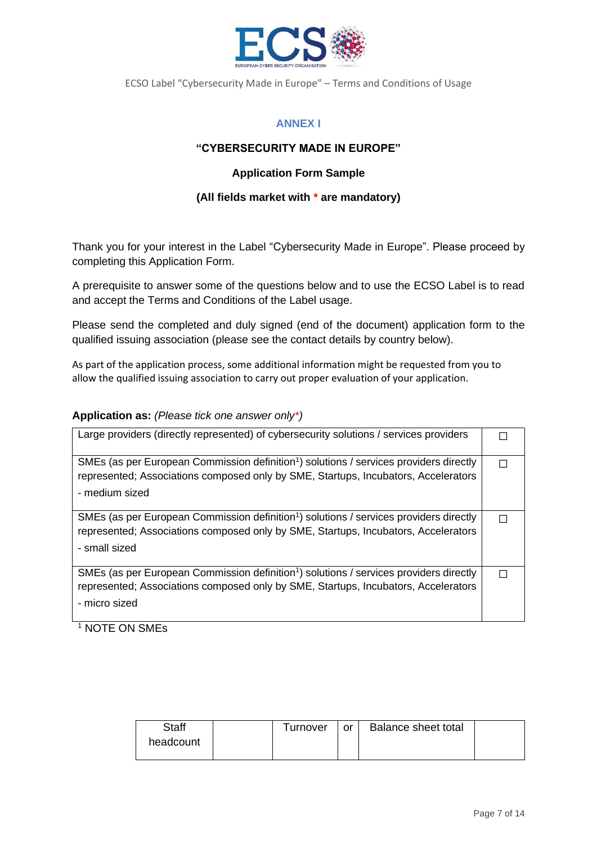

### **ANNEX I**

### **"CYBERSECURITY MADE IN EUROPE"**

### **Application Form Sample**

### **(All fields market with \* are mandatory)**

Thank you for your interest in the Label "Cybersecurity Made in Europe". Please proceed by completing this Application Form.

A prerequisite to answer some of the questions below and to use the ECSO Label is to read and accept the Terms and Conditions of the Label usage.

Please send the completed and duly signed (end of the document) application form to the qualified issuing association (please see the contact details by country below).

As part of the application process, some additional information might be requested from you to allow the qualified issuing association to carry out proper evaluation of your application.

#### **Application as:** *(Please tick one answer only\*)*

| Large providers (directly represented) of cybersecurity solutions / services providers                                                                                                                     |  |
|------------------------------------------------------------------------------------------------------------------------------------------------------------------------------------------------------------|--|
| SMEs (as per European Commission definition <sup>1</sup> ) solutions / services providers directly<br>represented; Associations composed only by SME, Startups, Incubators, Accelerators<br>- medium sized |  |
| SMEs (as per European Commission definition <sup>1</sup> ) solutions / services providers directly<br>represented; Associations composed only by SME, Startups, Incubators, Accelerators<br>- small sized  |  |
| SMEs (as per European Commission definition <sup>1</sup> ) solutions / services providers directly<br>represented; Associations composed only by SME, Startups, Incubators, Accelerators<br>- micro sized  |  |

<sup>1</sup> NOTE ON SMES

| <b>Staff</b> | Turnover | or | Balance sheet total |  |
|--------------|----------|----|---------------------|--|
| headcount    |          |    |                     |  |
|              |          |    |                     |  |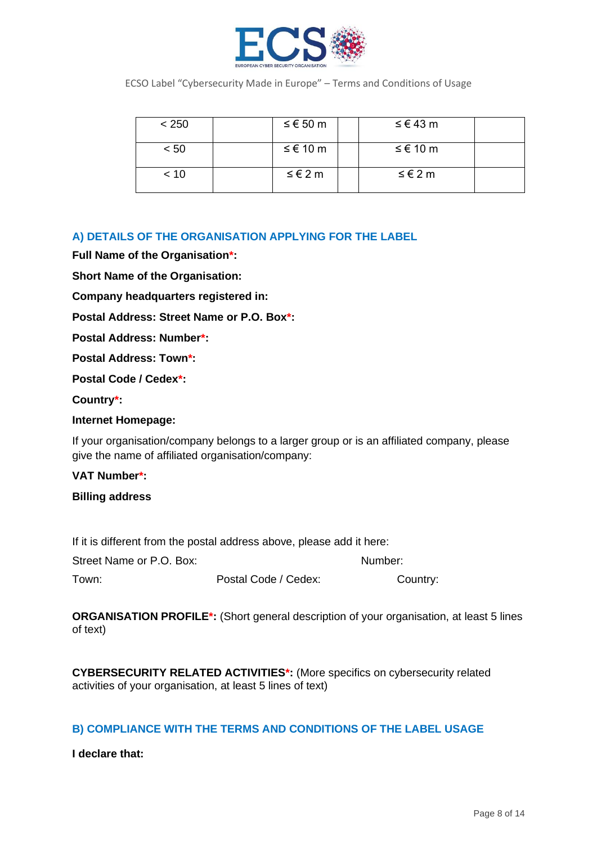

| < 250 | ≤ € 50 m | ≤ € 43 m |  |
|-------|----------|----------|--|
| < 50  | ≤ € 10 m | ≤ € 10 m |  |
| < 10  | ≤ € 2 m  | ≤ € 2 m  |  |

### **A) DETAILS OF THE ORGANISATION APPLYING FOR THE LABEL**

**Full Name of the Organisation\*:**

**Short Name of the Organisation:**

**Company headquarters registered in:** 

**Postal Address: Street Name or P.O. Box\*:**

**Postal Address: Number\*:**

**Postal Address: Town\*:**

**Postal Code / Cedex\*:**

**Country\*:**

#### **Internet Homepage:**

If your organisation/company belongs to a larger group or is an affiliated company, please give the name of affiliated organisation/company:

#### **VAT Number\*:**

#### **Billing address**

If it is different from the postal address above, please add it here:

| Street Name or P.O. Box: |                      | Number:  |
|--------------------------|----------------------|----------|
| Town:                    | Postal Code / Cedex: | Country: |

**ORGANISATION PROFILE\*:** (Short general description of your organisation, at least 5 lines of text)

**CYBERSECURITY RELATED ACTIVITIES\*:** (More specifics on cybersecurity related activities of your organisation, at least 5 lines of text)

### **B) COMPLIANCE WITH THE TERMS AND CONDITIONS OF THE LABEL USAGE**

**I declare that:**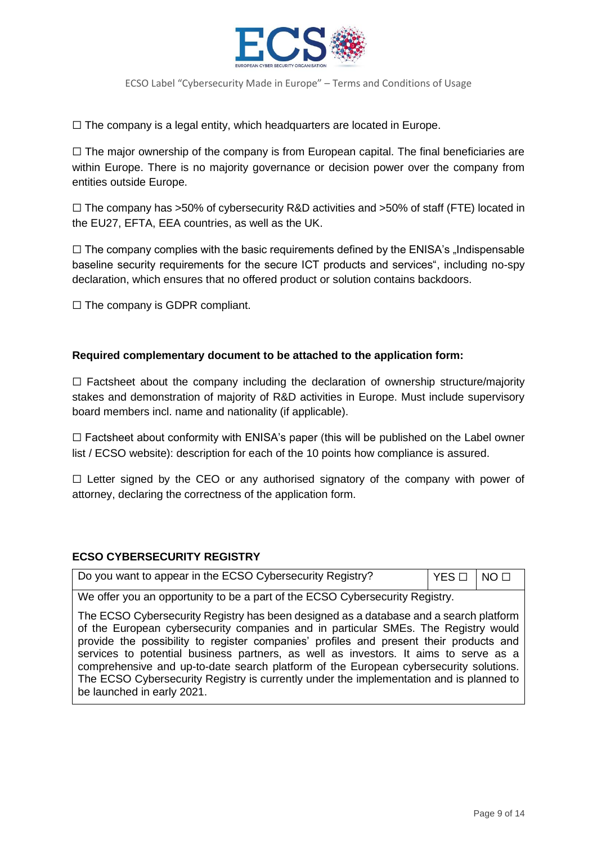

 $\Box$  The company is a legal entity, which headquarters are located in Europe.

 $\Box$  The major ownership of the company is from European capital. The final beneficiaries are within Europe. There is no majority governance or decision power over the company from entities outside Europe.

 $\Box$  The company has >50% of cybersecurity R&D activities and >50% of staff (FTE) located in the EU27, EFTA, EEA countries, as well as the UK.

 $\Box$  The company complies with the basic requirements defined by the ENISA's  $\Box$ Indispensable baseline security requirements for the secure ICT products and services", including no-spy declaration, which ensures that no offered product or solution contains backdoors.

 $\Box$  The company is GDPR compliant.

### **Required complementary document to be attached to the application form:**

 $\Box$  Factsheet about the company including the declaration of ownership structure/majority stakes and demonstration of majority of R&D activities in Europe. Must include supervisory board members incl. name and nationality (if applicable).

 $\Box$  Factsheet about conformity with ENISA's paper (this will be published on the Label owner list / ECSO website): description for each of the 10 points how compliance is assured.

 $\Box$  Letter signed by the CEO or any authorised signatory of the company with power of attorney, declaring the correctness of the application form.

### **ECSO CYBERSECURITY REGISTRY**

| Do you want to appear in the ECSO Cybersecurity Registry? | $YES \Box$ NO $\Box$ |  |
|-----------------------------------------------------------|----------------------|--|
|-----------------------------------------------------------|----------------------|--|

We offer you an opportunity to be a part of the ECSO Cybersecurity Registry.

The ECSO Cybersecurity Registry has been designed as a database and a search platform of the European cybersecurity companies and in particular SMEs. The Registry would provide the possibility to register companies' profiles and present their products and services to potential business partners, as well as investors. It aims to serve as a comprehensive and up-to-date search platform of the European cybersecurity solutions. The ECSO Cybersecurity Registry is currently under the implementation and is planned to be launched in early 2021.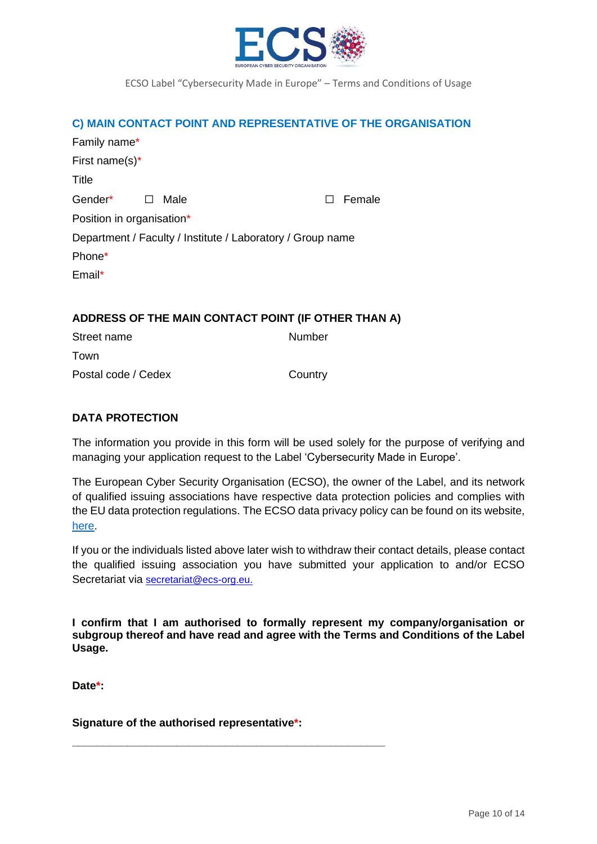

#### **C) MAIN CONTACT POINT AND REPRESENTATIVE OF THE ORGANISATION**

| Family name*              |                                                            |               |
|---------------------------|------------------------------------------------------------|---------------|
| First name(s) $*$         |                                                            |               |
| Title                     |                                                            |               |
| Gender* □                 | Male                                                       | $\Box$ Female |
| Position in organisation* |                                                            |               |
|                           | Department / Faculty / Institute / Laboratory / Group name |               |
| Phone*                    |                                                            |               |
| Email*                    |                                                            |               |

#### **ADDRESS OF THE MAIN CONTACT POINT (IF OTHER THAN A)**

| Street name         | Number  |
|---------------------|---------|
| Town                |         |
| Postal code / Cedex | Country |

### **DATA PROTECTION**

The information you provide in this form will be used solely for the purpose of verifying and managing your application request to the Label 'Cybersecurity Made in Europe'.

The European Cyber Security Organisation (ECSO), the owner of the Label, and its network of qualified issuing associations have respective data protection policies and complies with the EU data protection regulations. The ECSO data privacy policy can be found on its website, [here.](https://www.ecs-org.eu/documents/data-privacy-policy.pdf)

If you or the individuals listed above later wish to withdraw their contact details, please contact the qualified issuing association you have submitted your application to and/or ECSO Secretariat via [secretariat@ecs-org.eu.](mailto:secretariat@ecs-org.eu)

**I confirm that I am authorised to formally represent my company/organisation or subgroup thereof and have read and agree with the Terms and Conditions of the Label Usage.**

**Date\*:**

**Signature of the authorised representative\*:** 

**\_\_\_\_\_\_\_\_\_\_\_\_\_\_\_\_\_\_\_\_\_\_\_\_\_\_\_\_\_\_\_\_\_\_\_\_\_\_\_\_\_\_\_\_\_\_\_\_\_\_\_**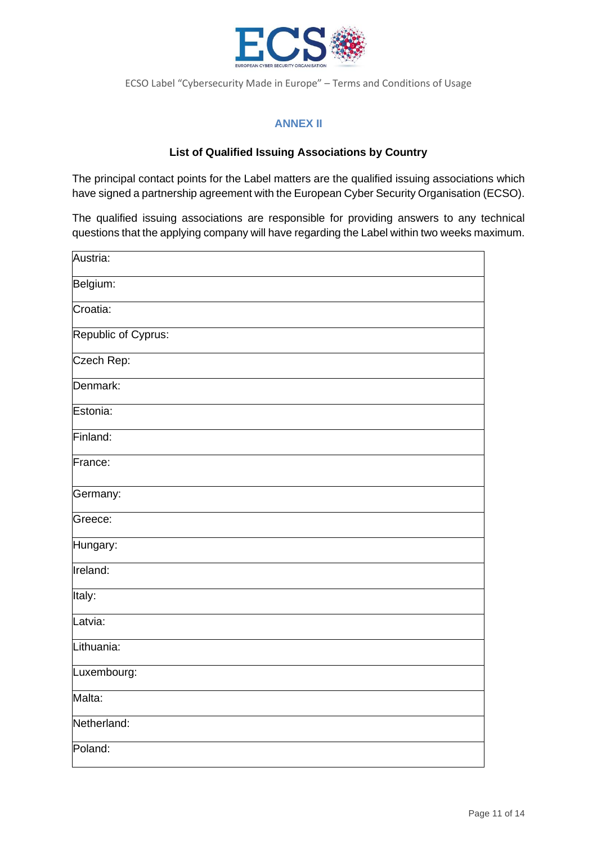

### **ANNEX II**

### **List of Qualified Issuing Associations by Country**

The principal contact points for the Label matters are the qualified issuing associations which have signed a partnership agreement with the European Cyber Security Organisation (ECSO).

The qualified issuing associations are responsible for providing answers to any technical questions that the applying company will have regarding the Label within two weeks maximum.

| Austria:            |
|---------------------|
| Belgium:            |
| Croatia:            |
| Republic of Cyprus: |
| Czech Rep:          |
| Denmark:            |
| Estonia:            |
| Finland:            |
| France:             |
| Germany:            |
| Greece:             |
| Hungary:            |
| Ireland:            |
| Italy:              |
| Latvia:             |
| Lithuania:          |
| Luxembourg:         |
| Malta:              |
| Netherland:         |
| Poland:             |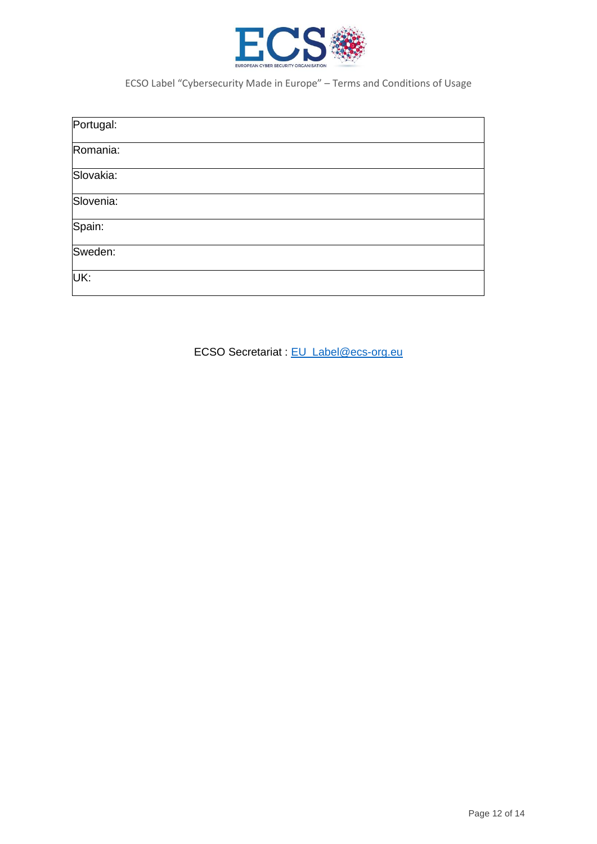

|                   | Portugal: |  |  |
|-------------------|-----------|--|--|
|                   | Romania:  |  |  |
|                   | Slovakia: |  |  |
| Spain:<br>Sweden: | Slovenia: |  |  |
|                   |           |  |  |
|                   |           |  |  |
|                   | UK:       |  |  |

ECSO Secretariat : [EU\\_Label@ecs-org.eu](mailto:EU_Label@ecs-org.eu)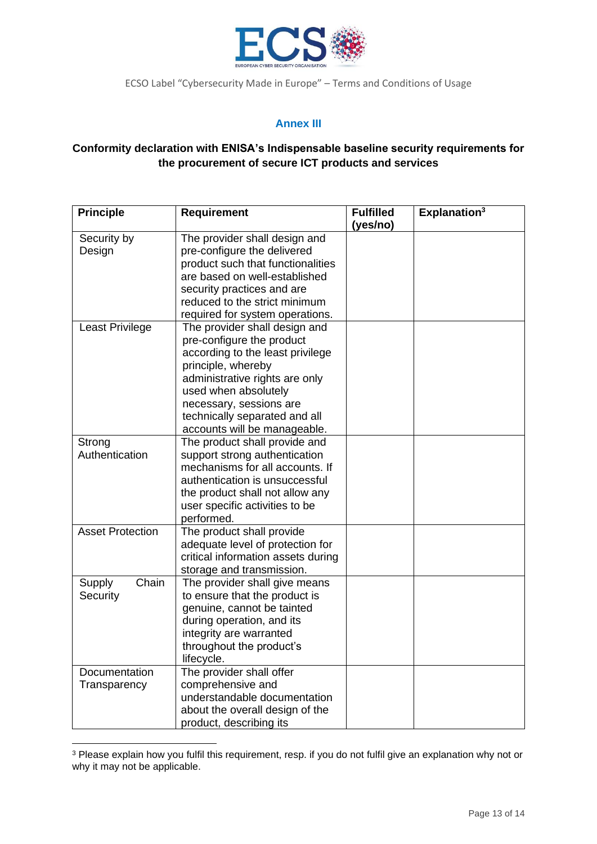

### **Annex III**

### **Conformity declaration with ENISA's Indispensable baseline security requirements for the procurement of secure ICT products and services**

| <b>Principle</b>              | <b>Requirement</b>                                                                                                                                                                                                                                                         | <b>Fulfilled</b><br>(yes/no) | Explanation <sup>3</sup> |
|-------------------------------|----------------------------------------------------------------------------------------------------------------------------------------------------------------------------------------------------------------------------------------------------------------------------|------------------------------|--------------------------|
| Security by<br>Design         | The provider shall design and<br>pre-configure the delivered<br>product such that functionalities<br>are based on well-established<br>security practices and are                                                                                                           |                              |                          |
|                               | reduced to the strict minimum<br>required for system operations.                                                                                                                                                                                                           |                              |                          |
| Least Privilege               | The provider shall design and<br>pre-configure the product<br>according to the least privilege<br>principle, whereby<br>administrative rights are only<br>used when absolutely<br>necessary, sessions are<br>technically separated and all<br>accounts will be manageable. |                              |                          |
| Strong<br>Authentication      | The product shall provide and<br>support strong authentication<br>mechanisms for all accounts. If<br>authentication is unsuccessful<br>the product shall not allow any<br>user specific activities to be<br>performed.                                                     |                              |                          |
| <b>Asset Protection</b>       | The product shall provide<br>adequate level of protection for<br>critical information assets during<br>storage and transmission.                                                                                                                                           |                              |                          |
| Chain<br>Supply<br>Security   | The provider shall give means<br>to ensure that the product is<br>genuine, cannot be tainted<br>during operation, and its<br>integrity are warranted<br>throughout the product's<br>lifecycle.                                                                             |                              |                          |
| Documentation<br>Transparency | The provider shall offer<br>comprehensive and<br>understandable documentation<br>about the overall design of the<br>product, describing its                                                                                                                                |                              |                          |

<sup>&</sup>lt;sup>3</sup> Please explain how you fulfil this requirement, resp. if you do not fulfil give an explanation why not or why it may not be applicable.